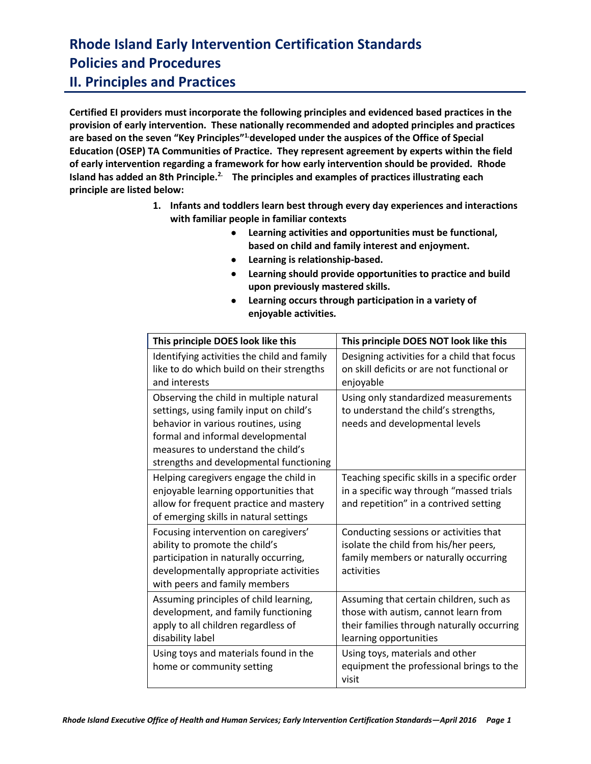### **Rhode Island Early Intervention Certification Standards Policies and Procedures II. Principles and Practices**

**Certified EI providers must incorporate the following principles and evidenced based practices in the provision of early intervention. These nationally recommended and adopted principles and practices are based on the seven "Key Principles"1.developed under the auspices of the Office of Special Education (OSEP) TA Communities of Practice. They represent agreement by experts within the field of early intervention regarding a framework for how early intervention should be provided. Rhode Island has added an 8th Principle. 2. The principles and examples of practices illustrating each principle are listed below:**

- **1. Infants and toddlers learn best through every day experiences and interactions with familiar people in familiar contexts**
	- **Learning activities and opportunities must be functional, based on child and family interest and enjoyment.**
	- **Learning is relationship-based.**
	- **Learning should provide opportunities to practice and build upon previously mastered skills.**
	- **Learning occurs through participation in a variety of enjoyable activities***.*

| This principle DOES look like this                                                                                                                                                                                                              | This principle DOES NOT look like this                                                                                                                  |
|-------------------------------------------------------------------------------------------------------------------------------------------------------------------------------------------------------------------------------------------------|---------------------------------------------------------------------------------------------------------------------------------------------------------|
| Identifying activities the child and family<br>like to do which build on their strengths<br>and interests                                                                                                                                       | Designing activities for a child that focus<br>on skill deficits or are not functional or<br>enjoyable                                                  |
| Observing the child in multiple natural<br>settings, using family input on child's<br>behavior in various routines, using<br>formal and informal developmental<br>measures to understand the child's<br>strengths and developmental functioning | Using only standardized measurements<br>to understand the child's strengths,<br>needs and developmental levels                                          |
| Helping caregivers engage the child in<br>enjoyable learning opportunities that<br>allow for frequent practice and mastery<br>of emerging skills in natural settings                                                                            | Teaching specific skills in a specific order<br>in a specific way through "massed trials<br>and repetition" in a contrived setting                      |
| Focusing intervention on caregivers'<br>ability to promote the child's<br>participation in naturally occurring,<br>developmentally appropriate activities<br>with peers and family members                                                      | Conducting sessions or activities that<br>isolate the child from his/her peers,<br>family members or naturally occurring<br>activities                  |
| Assuming principles of child learning,<br>development, and family functioning<br>apply to all children regardless of<br>disability label                                                                                                        | Assuming that certain children, such as<br>those with autism, cannot learn from<br>their families through naturally occurring<br>learning opportunities |
| Using toys and materials found in the<br>home or community setting                                                                                                                                                                              | Using toys, materials and other<br>equipment the professional brings to the<br>visit                                                                    |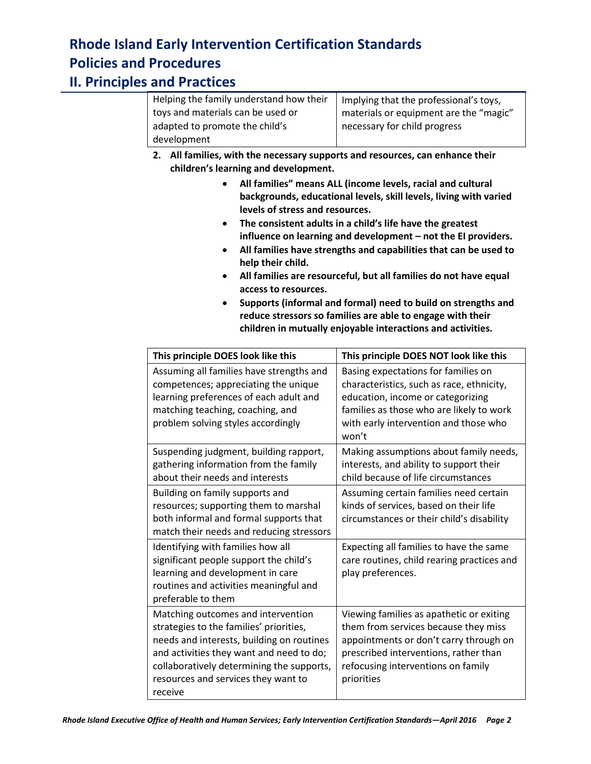### **II. Principles and Practices**

| Helping the family understand how their | Implying that the professional's toys, |
|-----------------------------------------|----------------------------------------|
| toys and materials can be used or       | materials or equipment are the "magic" |
| adapted to promote the child's          | necessary for child progress           |
| development                             |                                        |

- **2. All families, with the necessary supports and resources, can enhance their children's learning and development.**
	- **All families" means ALL (income levels, racial and cultural backgrounds, educational levels, skill levels, living with varied levels of stress and resources.**
	- **The consistent adults in a child's life have the greatest influence on learning and development – not the EI providers.**
	- **All families have strengths and capabilities that can be used to help their child.**
	- **All families are resourceful, but all families do not have equal access to resources.**
	- **Supports (informal and formal) need to build on strengths and reduce stressors so families are able to engage with their children in mutually enjoyable interactions and activities.**

| This principle DOES look like this                                                                                                                                                                                                                                    | This principle DOES NOT look like this                                                                                                                                                                                  |
|-----------------------------------------------------------------------------------------------------------------------------------------------------------------------------------------------------------------------------------------------------------------------|-------------------------------------------------------------------------------------------------------------------------------------------------------------------------------------------------------------------------|
| Assuming all families have strengths and<br>competences; appreciating the unique<br>learning preferences of each adult and<br>matching teaching, coaching, and<br>problem solving styles accordingly                                                                  | Basing expectations for families on<br>characteristics, such as race, ethnicity,<br>education, income or categorizing<br>families as those who are likely to work<br>with early intervention and those who<br>won't     |
| Suspending judgment, building rapport,<br>gathering information from the family<br>about their needs and interests                                                                                                                                                    | Making assumptions about family needs,<br>interests, and ability to support their<br>child because of life circumstances                                                                                                |
| Building on family supports and<br>resources; supporting them to marshal<br>both informal and formal supports that<br>match their needs and reducing stressors                                                                                                        | Assuming certain families need certain<br>kinds of services, based on their life<br>circumstances or their child's disability                                                                                           |
| Identifying with families how all<br>significant people support the child's<br>learning and development in care<br>routines and activities meaningful and<br>preferable to them                                                                                       | Expecting all families to have the same<br>care routines, child rearing practices and<br>play preferences.                                                                                                              |
| Matching outcomes and intervention<br>strategies to the families' priorities,<br>needs and interests, building on routines<br>and activities they want and need to do;<br>collaboratively determining the supports,<br>resources and services they want to<br>receive | Viewing families as apathetic or exiting<br>them from services because they miss<br>appointments or don't carry through on<br>prescribed interventions, rather than<br>refocusing interventions on family<br>priorities |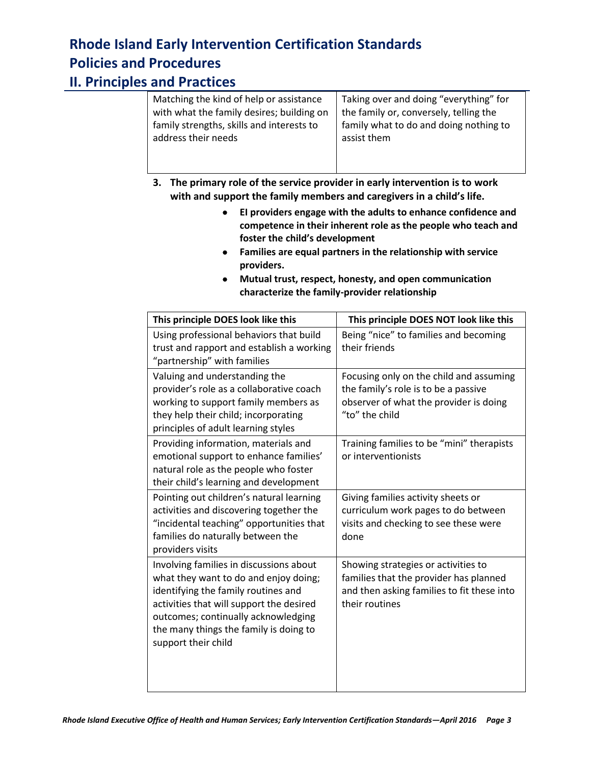### **II. Principles and Practices**

| Matching the kind of help or assistance   | Taking over and doing "everything" for |
|-------------------------------------------|----------------------------------------|
| with what the family desires; building on | the family or, conversely, telling the |
| family strengths, skills and interests to | family what to do and doing nothing to |
| address their needs                       | assist them                            |
|                                           |                                        |

- **3. The primary role of the service provider in early intervention is to work with and support the family members and caregivers in a child's life.**
	- **EI providers engage with the adults to enhance confidence and competence in their inherent role as the people who teach and foster the child's development**
	- **Families are equal partners in the relationship with service providers.**
	- **Mutual trust, respect, honesty, and open communication characterize the family-provider relationship**

| This principle DOES look like this                                                                                                                                                                                                                                          | This principle DOES NOT look like this                                                                                                        |
|-----------------------------------------------------------------------------------------------------------------------------------------------------------------------------------------------------------------------------------------------------------------------------|-----------------------------------------------------------------------------------------------------------------------------------------------|
| Using professional behaviors that build<br>trust and rapport and establish a working<br>"partnership" with families                                                                                                                                                         | Being "nice" to families and becoming<br>their friends                                                                                        |
| Valuing and understanding the<br>provider's role as a collaborative coach<br>working to support family members as<br>they help their child; incorporating<br>principles of adult learning styles                                                                            | Focusing only on the child and assuming<br>the family's role is to be a passive<br>observer of what the provider is doing<br>"to" the child   |
| Providing information, materials and<br>emotional support to enhance families'<br>natural role as the people who foster<br>their child's learning and development                                                                                                           | Training families to be "mini" therapists<br>or interventionists                                                                              |
| Pointing out children's natural learning<br>activities and discovering together the<br>"incidental teaching" opportunities that<br>families do naturally between the<br>providers visits                                                                                    | Giving families activity sheets or<br>curriculum work pages to do between<br>visits and checking to see these were<br>done                    |
| Involving families in discussions about<br>what they want to do and enjoy doing;<br>identifying the family routines and<br>activities that will support the desired<br>outcomes; continually acknowledging<br>the many things the family is doing to<br>support their child | Showing strategies or activities to<br>families that the provider has planned<br>and then asking families to fit these into<br>their routines |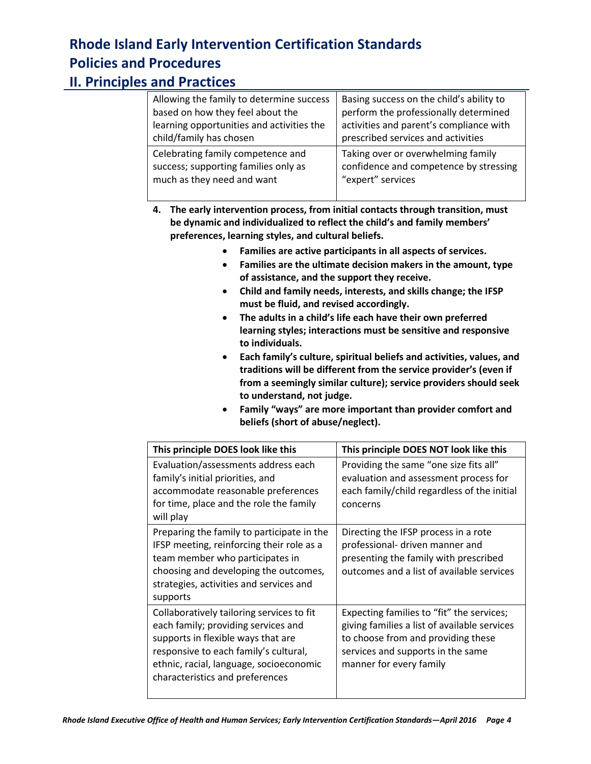### **II. Principles and Practices**

| Allowing the family to determine success  | Basing success on the child's ability to |
|-------------------------------------------|------------------------------------------|
| based on how they feel about the          | perform the professionally determined    |
| learning opportunities and activities the | activities and parent's compliance with  |
| child/family has chosen                   | prescribed services and activities       |
| Celebrating family competence and         | Taking over or overwhelming family       |
| success; supporting families only as      | confidence and competence by stressing   |
| much as they need and want                | "expert" services                        |

**4. The early intervention process, from initial contacts through transition, must be dynamic and individualized to reflect the child's and family members' preferences, learning styles, and cultural beliefs.**

- **Families are active participants in all aspects of services.**
- **Families are the ultimate decision makers in the amount, type of assistance, and the support they receive.**
- **Child and family needs, interests, and skills change; the IFSP must be fluid, and revised accordingly.**
- **The adults in a child's life each have their own preferred learning styles; interactions must be sensitive and responsive to individuals.**
- **Each family's culture, spiritual beliefs and activities, values, and traditions will be different from the service provider's (even if from a seemingly similar culture); service providers should seek to understand, not judge.**
- **Family "ways" are more important than provider comfort and beliefs (short of abuse/neglect).**

| This principle DOES look like this                                                                                                                                                                                                            | This principle DOES NOT look like this                                                                                                                                                          |
|-----------------------------------------------------------------------------------------------------------------------------------------------------------------------------------------------------------------------------------------------|-------------------------------------------------------------------------------------------------------------------------------------------------------------------------------------------------|
| Evaluation/assessments address each<br>family's initial priorities, and<br>accommodate reasonable preferences<br>for time, place and the role the family<br>will play                                                                         | Providing the same "one size fits all"<br>evaluation and assessment process for<br>each family/child regardless of the initial<br>concerns                                                      |
| Preparing the family to participate in the<br>IFSP meeting, reinforcing their role as a<br>team member who participates in<br>choosing and developing the outcomes,<br>strategies, activities and services and<br>supports                    | Directing the IFSP process in a rote<br>professional- driven manner and<br>presenting the family with prescribed<br>outcomes and a list of available services                                   |
| Collaboratively tailoring services to fit<br>each family; providing services and<br>supports in flexible ways that are<br>responsive to each family's cultural,<br>ethnic, racial, language, socioeconomic<br>characteristics and preferences | Expecting families to "fit" the services;<br>giving families a list of available services<br>to choose from and providing these<br>services and supports in the same<br>manner for every family |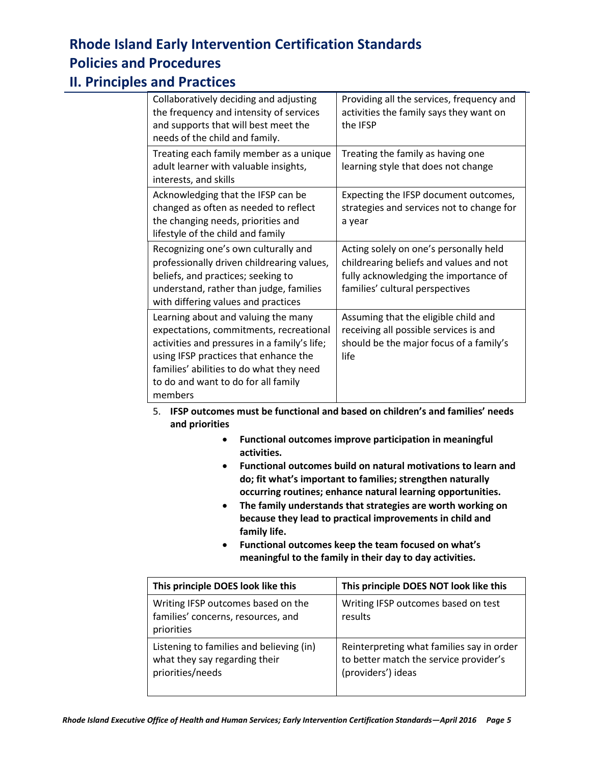### **II. Principles and Practices**

| Collaboratively deciding and adjusting<br>the frequency and intensity of services<br>and supports that will best meet the<br>needs of the child and family.                                                                                                           | Providing all the services, frequency and<br>activities the family says they want on<br>the <b>IFSP</b>                                                       |
|-----------------------------------------------------------------------------------------------------------------------------------------------------------------------------------------------------------------------------------------------------------------------|---------------------------------------------------------------------------------------------------------------------------------------------------------------|
| Treating each family member as a unique<br>adult learner with valuable insights,<br>interests, and skills                                                                                                                                                             | Treating the family as having one<br>learning style that does not change                                                                                      |
| Acknowledging that the IFSP can be<br>changed as often as needed to reflect<br>the changing needs, priorities and<br>lifestyle of the child and family                                                                                                                | Expecting the IFSP document outcomes,<br>strategies and services not to change for<br>a year                                                                  |
| Recognizing one's own culturally and<br>professionally driven childrearing values,<br>beliefs, and practices; seeking to<br>understand, rather than judge, families<br>with differing values and practices                                                            | Acting solely on one's personally held<br>childrearing beliefs and values and not<br>fully acknowledging the importance of<br>families' cultural perspectives |
| Learning about and valuing the many<br>expectations, commitments, recreational<br>activities and pressures in a family's life;<br>using IFSP practices that enhance the<br>families' abilities to do what they need<br>to do and want to do for all family<br>members | Assuming that the eligible child and<br>receiving all possible services is and<br>should be the major focus of a family's<br>life                             |

- 5. **IFSP outcomes must be functional and based on children's and families' needs and priorities**
	- **Functional outcomes improve participation in meaningful activities.**
	- **Functional outcomes build on natural motivations to learn and do; fit what's important to families; strengthen naturally occurring routines; enhance natural learning opportunities.**
	- **The family understands that strategies are worth working on because they lead to practical improvements in child and family life.**
	- **Functional outcomes keep the team focused on what's meaningful to the family in their day to day activities.**

| This principle DOES look like this                                                            | This principle DOES NOT look like this                                                                    |
|-----------------------------------------------------------------------------------------------|-----------------------------------------------------------------------------------------------------------|
| Writing IFSP outcomes based on the<br>families' concerns, resources, and<br>priorities        | Writing IFSP outcomes based on test<br>results                                                            |
| Listening to families and believing (in)<br>what they say regarding their<br>priorities/needs | Reinterpreting what families say in order<br>to better match the service provider's<br>(providers') ideas |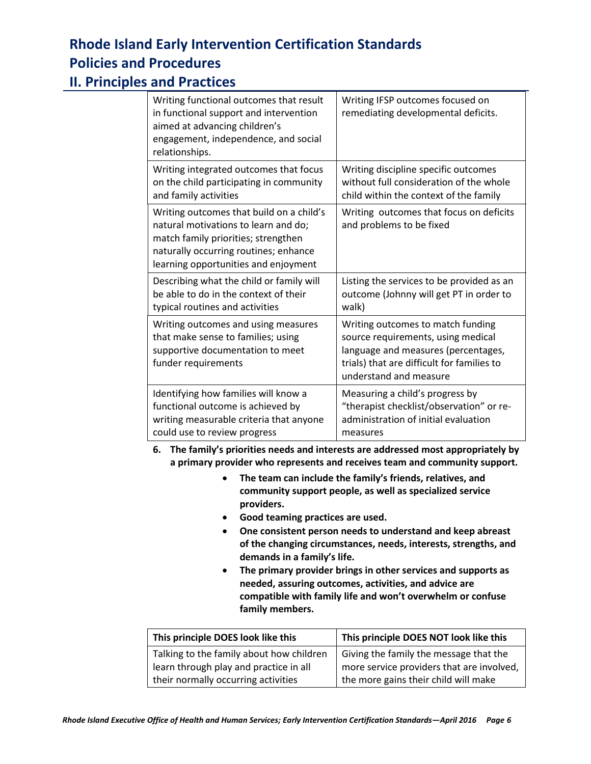### **II. Principles and Practices**

| Writing functional outcomes that result<br>in functional support and intervention<br>aimed at advancing children's<br>engagement, independence, and social<br>relationships.                             | Writing IFSP outcomes focused on<br>remediating developmental deficits.                                                                                                                |
|----------------------------------------------------------------------------------------------------------------------------------------------------------------------------------------------------------|----------------------------------------------------------------------------------------------------------------------------------------------------------------------------------------|
| Writing integrated outcomes that focus                                                                                                                                                                   | Writing discipline specific outcomes                                                                                                                                                   |
| on the child participating in community                                                                                                                                                                  | without full consideration of the whole                                                                                                                                                |
| and family activities                                                                                                                                                                                    | child within the context of the family                                                                                                                                                 |
| Writing outcomes that build on a child's<br>natural motivations to learn and do;<br>match family priorities; strengthen<br>naturally occurring routines; enhance<br>learning opportunities and enjoyment | Writing outcomes that focus on deficits<br>and problems to be fixed                                                                                                                    |
| Describing what the child or family will                                                                                                                                                                 | Listing the services to be provided as an                                                                                                                                              |
| be able to do in the context of their                                                                                                                                                                    | outcome (Johnny will get PT in order to                                                                                                                                                |
| typical routines and activities                                                                                                                                                                          | walk)                                                                                                                                                                                  |
| Writing outcomes and using measures<br>that make sense to families; using<br>supportive documentation to meet<br>funder requirements                                                                     | Writing outcomes to match funding<br>source requirements, using medical<br>language and measures (percentages,<br>trials) that are difficult for families to<br>understand and measure |
| Identifying how families will know a                                                                                                                                                                     | Measuring a child's progress by                                                                                                                                                        |
| functional outcome is achieved by                                                                                                                                                                        | "therapist checklist/observation" or re-                                                                                                                                               |
| writing measurable criteria that anyone                                                                                                                                                                  | administration of initial evaluation                                                                                                                                                   |
| could use to review progress                                                                                                                                                                             | measures                                                                                                                                                                               |

**6. The family's priorities needs and interests are addressed most appropriately by a primary provider who represents and receives team and community support.**

- **The team can include the family's friends, relatives, and community support people, as well as specialized service providers.**
- **Good teaming practices are used.**
- **One consistent person needs to understand and keep abreast of the changing circumstances, needs, interests, strengths, and demands in a family's life.**
- **The primary provider brings in other services and supports as needed, assuring outcomes, activities, and advice are compatible with family life and won't overwhelm or confuse family members.**

| This principle DOES look like this       | This principle DOES NOT look like this    |
|------------------------------------------|-------------------------------------------|
| Talking to the family about how children | Giving the family the message that the    |
| learn through play and practice in all   | more service providers that are involved, |
| their normally occurring activities      | the more gains their child will make      |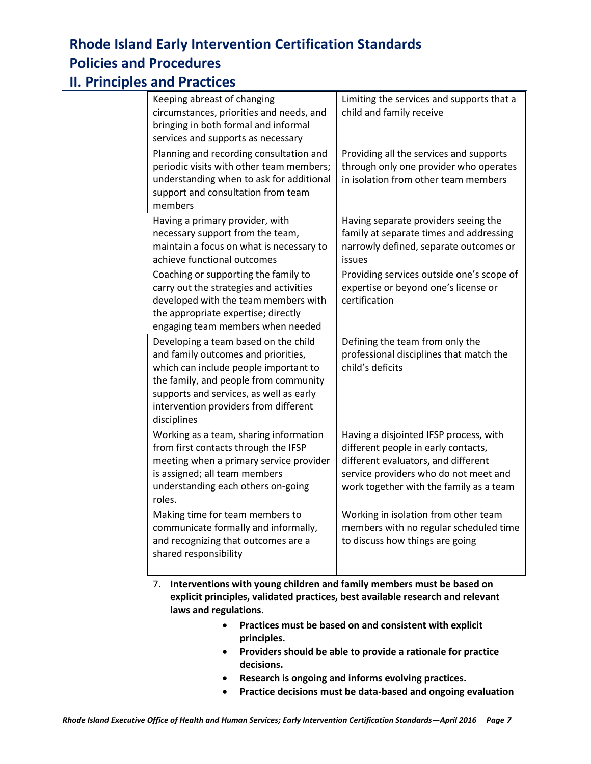### **II. Principles and Practices**

| Keeping abreast of changing<br>circumstances, priorities and needs, and<br>bringing in both formal and informal<br>services and supports as necessary                                                                                                            | Limiting the services and supports that a<br>child and family receive                                                                                                                                    |
|------------------------------------------------------------------------------------------------------------------------------------------------------------------------------------------------------------------------------------------------------------------|----------------------------------------------------------------------------------------------------------------------------------------------------------------------------------------------------------|
| Planning and recording consultation and<br>periodic visits with other team members;<br>understanding when to ask for additional<br>support and consultation from team<br>members                                                                                 | Providing all the services and supports<br>through only one provider who operates<br>in isolation from other team members                                                                                |
| Having a primary provider, with<br>necessary support from the team,<br>maintain a focus on what is necessary to<br>achieve functional outcomes                                                                                                                   | Having separate providers seeing the<br>family at separate times and addressing<br>narrowly defined, separate outcomes or<br>issues                                                                      |
| Coaching or supporting the family to<br>carry out the strategies and activities<br>developed with the team members with<br>the appropriate expertise; directly<br>engaging team members when needed                                                              | Providing services outside one's scope of<br>expertise or beyond one's license or<br>certification                                                                                                       |
| Developing a team based on the child<br>and family outcomes and priorities,<br>which can include people important to<br>the family, and people from community<br>supports and services, as well as early<br>intervention providers from different<br>disciplines | Defining the team from only the<br>professional disciplines that match the<br>child's deficits                                                                                                           |
| Working as a team, sharing information<br>from first contacts through the IFSP<br>meeting when a primary service provider<br>is assigned; all team members<br>understanding each others on-going<br>roles.                                                       | Having a disjointed IFSP process, with<br>different people in early contacts,<br>different evaluators, and different<br>service providers who do not meet and<br>work together with the family as a team |
| Making time for team members to<br>communicate formally and informally,<br>and recognizing that outcomes are a<br>shared responsibility                                                                                                                          | Working in isolation from other team<br>members with no regular scheduled time<br>to discuss how things are going                                                                                        |

7. **Interventions with young children and family members must be based on explicit principles, validated practices, best available research and relevant laws and regulations.**

- **Practices must be based on and consistent with explicit principles.**
- **Providers should be able to provide a rationale for practice decisions.**
- **Research is ongoing and informs evolving practices.**
- **Practice decisions must be data-based and ongoing evaluation**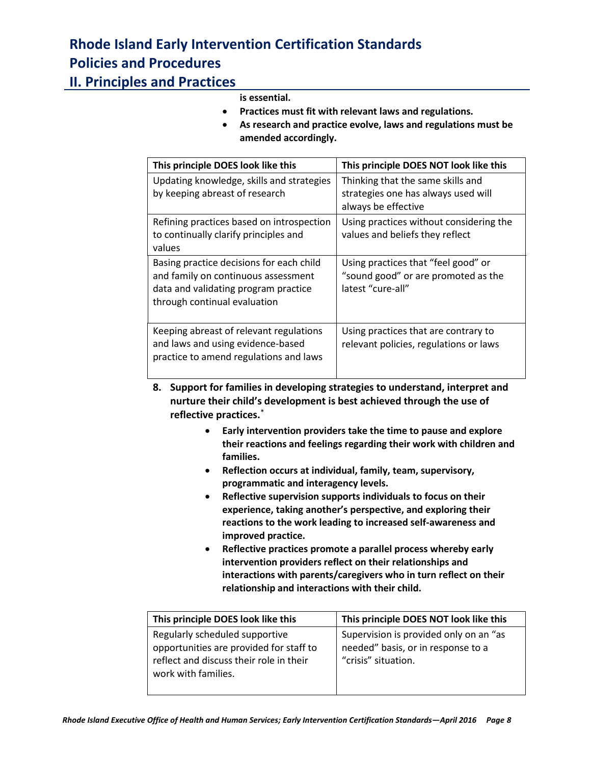#### **II. Principles and Practices**

#### **is essential.**

- **Practices must fit with relevant laws and regulations.**
- **As research and practice evolve, laws and regulations must be amended accordingly.**

| This principle DOES look like this                                                                                                                      | This principle DOES NOT look like this                                                          |
|---------------------------------------------------------------------------------------------------------------------------------------------------------|-------------------------------------------------------------------------------------------------|
| Updating knowledge, skills and strategies<br>by keeping abreast of research                                                                             | Thinking that the same skills and<br>strategies one has always used will<br>always be effective |
| Refining practices based on introspection<br>to continually clarify principles and<br>values                                                            | Using practices without considering the<br>values and beliefs they reflect                      |
| Basing practice decisions for each child<br>and family on continuous assessment<br>data and validating program practice<br>through continual evaluation | Using practices that "feel good" or<br>"sound good" or are promoted as the<br>latest "cure-all" |
| Keeping abreast of relevant regulations<br>and laws and using evidence-based<br>practice to amend regulations and laws                                  | Using practices that are contrary to<br>relevant policies, regulations or laws                  |

- **8. Support for families in developing strategies to understand, interpret and nurture their child's development is best achieved through the use of reflective practices.**\*
	- **Early intervention providers take the time to pause and explore their reactions and feelings regarding their work with children and families.**
	- **Reflection occurs at individual, family, team, supervisory, programmatic and interagency levels.**
	- **Reflective supervision supports individuals to focus on their experience, taking another's perspective, and exploring their reactions to the work leading to increased self-awareness and improved practice.**
	- **Reflective practices promote a parallel process whereby early intervention providers reflect on their relationships and interactions with parents/caregivers who in turn reflect on their relationship and interactions with their child.**

| This principle DOES look like this      | This principle DOES NOT look like this |
|-----------------------------------------|----------------------------------------|
| Regularly scheduled supportive          | Supervision is provided only on an "as |
| opportunities are provided for staff to | needed" basis, or in response to a     |
| reflect and discuss their role in their | "crisis" situation.                    |
| work with families.                     |                                        |
|                                         |                                        |